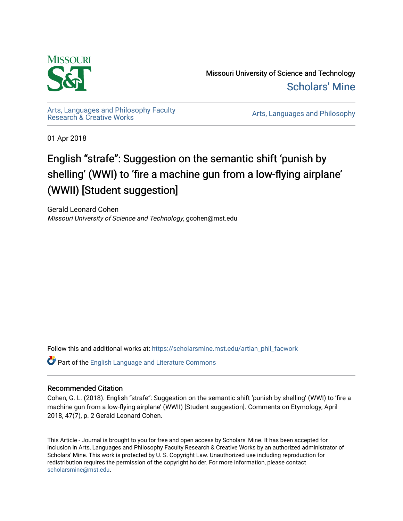

Missouri University of Science and Technology [Scholars' Mine](https://scholarsmine.mst.edu/) 

[Arts, Languages and Philosophy Faculty](https://scholarsmine.mst.edu/artlan_phil_facwork) 

Arts, Languages and Philosophy

01 Apr 2018

# English "strafe": Suggestion on the semantic shift 'punish by shelling' (WWI) to 'fire a machine gun from a low-flying airplane' (WWII) [Student suggestion]

Gerald Leonard Cohen Missouri University of Science and Technology, gcohen@mst.edu

Follow this and additional works at: [https://scholarsmine.mst.edu/artlan\\_phil\\_facwork](https://scholarsmine.mst.edu/artlan_phil_facwork?utm_source=scholarsmine.mst.edu%2Fartlan_phil_facwork%2F201&utm_medium=PDF&utm_campaign=PDFCoverPages) 

Part of the [English Language and Literature Commons](http://network.bepress.com/hgg/discipline/455?utm_source=scholarsmine.mst.edu%2Fartlan_phil_facwork%2F201&utm_medium=PDF&utm_campaign=PDFCoverPages)

#### Recommended Citation

Cohen, G. L. (2018). English "strafe": Suggestion on the semantic shift 'punish by shelling' (WWI) to 'fire a machine gun from a low-flying airplane' (WWII) [Student suggestion]. Comments on Etymology, April 2018, 47(7), p. 2 Gerald Leonard Cohen.

This Article - Journal is brought to you for free and open access by Scholars' Mine. It has been accepted for inclusion in Arts, Languages and Philosophy Faculty Research & Creative Works by an authorized administrator of Scholars' Mine. This work is protected by U. S. Copyright Law. Unauthorized use including reproduction for redistribution requires the permission of the copyright holder. For more information, please contact [scholarsmine@mst.edu.](mailto:scholarsmine@mst.edu)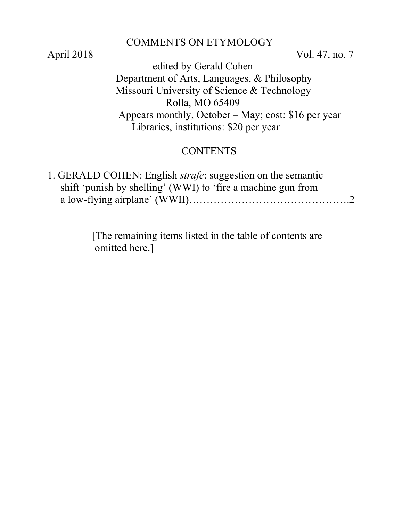#### COMMENTS ON ETYMOLOGY

April 2018 Vol. 47, no. 7

 edited by Gerald Cohen Department of Arts, Languages, & Philosophy Missouri University of Science & Technology Rolla, MO 65409 Appears monthly, October – May; cost: \$16 per year Libraries, institutions: \$20 per year

# **CONTENTS**

| 1. GERALD COHEN: English <i>strafe</i> : suggestion on the semantic |  |
|---------------------------------------------------------------------|--|
| shift 'punish by shelling' (WWI) to 'fire a machine gun from        |  |
|                                                                     |  |

 [The remaining items listed in the table of contents are omitted here.]